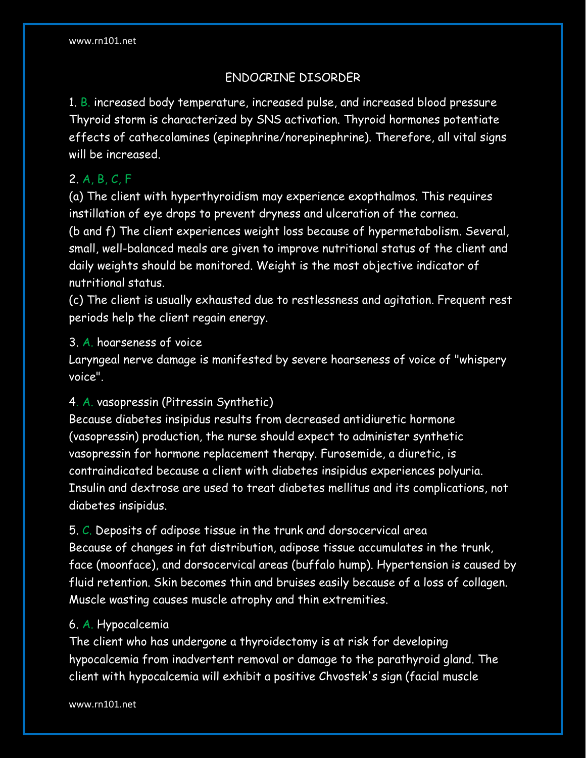# ENDOCRINE DISORDER

1. B. increased body temperature, increased pulse, and increased blood pressure Thyroid storm is characterized by SNS activation. Thyroid hormones potentiate effects of cathecolamines (epinephrine/norepinephrine). Therefore, all vital signs will be increased.

# 2. A, B, C, F

(a) The client with hyperthyroidism may experience exopthalmos. This requires instillation of eye drops to prevent dryness and ulceration of the cornea. (b and f) The client experiences weight loss because of hypermetabolism. Several, small, well-balanced meals are given to improve nutritional status of the client and daily weights should be monitored. Weight is the most objective indicator of nutritional status.

(c) The client is usually exhausted due to restlessness and agitation. Frequent rest periods help the client regain energy.

#### 3. A. hoarseness of voice

Laryngeal nerve damage is manifested by severe hoarseness of voice of "whispery voice".

# 4. A. vasopressin (Pitressin Synthetic)

Because diabetes insipidus results from decreased antidiuretic hormone (vasopressin) production, the nurse should expect to administer synthetic vasopressin for hormone replacement therapy. Furosemide, a diuretic, is contraindicated because a client with diabetes insipidus experiences polyuria. Insulin and dextrose are used to treat diabetes mellitus and its complications, not diabetes insipidus.

5. C. Deposits of adipose tissue in the trunk and dorsocervical area Because of changes in fat distribution, adipose tissue accumulates in the trunk, face (moonface), and dorsocervical areas (buffalo hump). Hypertension is caused by fluid retention. Skin becomes thin and bruises easily because of a loss of collagen. Muscle wasting causes muscle atrophy and thin extremities.

#### 6. A. Hypocalcemia

The client who has undergone a thyroidectomy is at risk for developing hypocalcemia from inadvertent removal or damage to the parathyroid gland. The client with hypocalcemia will exhibit a positive Chvostek's sign (facial muscle

www.rn101.net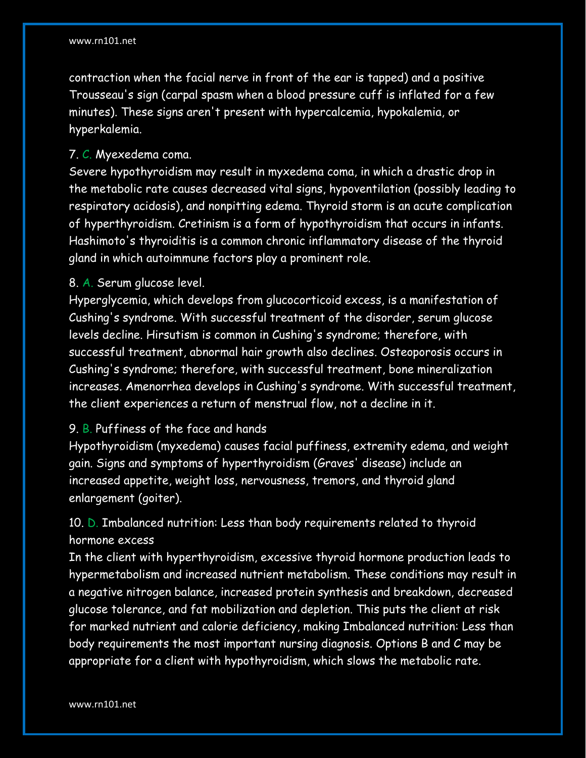contraction when the facial nerve in front of the ear is tapped) and a positive Trousseau's sign (carpal spasm when a blood pressure cuff is inflated for a few minutes). These signs aren't present with hypercalcemia, hypokalemia, or hyperkalemia.

#### 7. C. Myexedema coma.

Severe hypothyroidism may result in myxedema coma, in which a drastic drop in the metabolic rate causes decreased vital signs, hypoventilation (possibly leading to respiratory acidosis), and nonpitting edema. Thyroid storm is an acute complication of hyperthyroidism. Cretinism is a form of hypothyroidism that occurs in infants. Hashimoto's thyroiditis is a common chronic inflammatory disease of the thyroid gland in which autoimmune factors play a prominent role.

#### 8. A. Serum glucose level.

Hyperglycemia, which develops from glucocorticoid excess, is a manifestation of Cushing's syndrome. With successful treatment of the disorder, serum glucose levels decline. Hirsutism is common in Cushing's syndrome; therefore, with successful treatment, abnormal hair growth also declines. Osteoporosis occurs in Cushing's syndrome; therefore, with successful treatment, bone mineralization increases. Amenorrhea develops in Cushing's syndrome. With successful treatment, the client experiences a return of menstrual flow, not a decline in it.

#### 9. B. Puffiness of the face and hands

Hypothyroidism (myxedema) causes facial puffiness, extremity edema, and weight gain. Signs and symptoms of hyperthyroidism (Graves' disease) include an increased appetite, weight loss, nervousness, tremors, and thyroid gland enlargement (goiter).

# 10. D. Imbalanced nutrition: Less than body requirements related to thyroid hormone excess

In the client with hyperthyroidism, excessive thyroid hormone production leads to hypermetabolism and increased nutrient metabolism. These conditions may result in a negative nitrogen balance, increased protein synthesis and breakdown, decreased glucose tolerance, and fat mobilization and depletion. This puts the client at risk for marked nutrient and calorie deficiency, making Imbalanced nutrition: Less than body requirements the most important nursing diagnosis. Options B and C may be appropriate for a client with hypothyroidism, which slows the metabolic rate.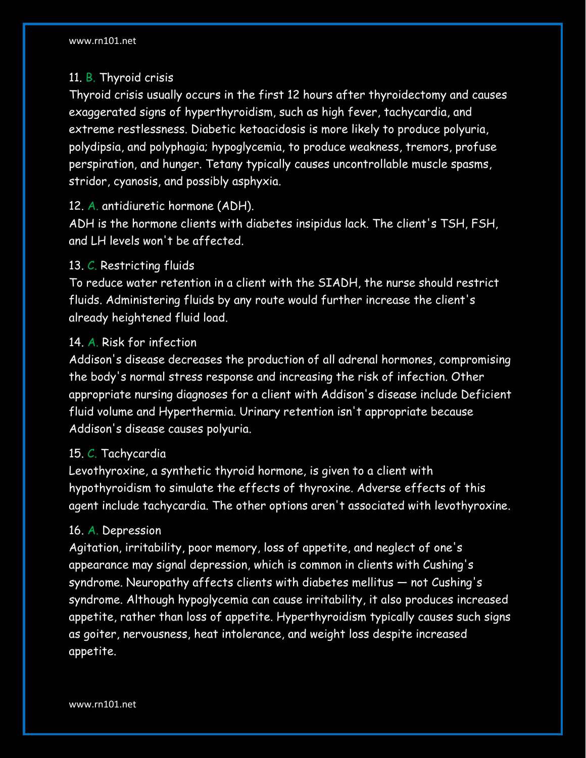# 11. B. Thyroid crisis

Thyroid crisis usually occurs in the first 12 hours after thyroidectomy and causes exaggerated signs of hyperthyroidism, such as high fever, tachycardia, and extreme restlessness. Diabetic ketoacidosis is more likely to produce polyuria, polydipsia, and polyphagia; hypoglycemia, to produce weakness, tremors, profuse perspiration, and hunger. Tetany typically causes uncontrollable muscle spasms, stridor, cyanosis, and possibly asphyxia.

#### 12. A. antidiuretic hormone (ADH).

ADH is the hormone clients with diabetes insipidus lack. The client's TSH, FSH, and LH levels won't be affected.

## 13. C. Restricting fluids

To reduce water retention in a client with the SIADH, the nurse should restrict fluids. Administering fluids by any route would further increase the client's already heightened fluid load.

## 14. A. Risk for infection

Addison's disease decreases the production of all adrenal hormones, compromising the body's normal stress response and increasing the risk of infection. Other appropriate nursing diagnoses for a client with Addison's disease include Deficient fluid volume and Hyperthermia. Urinary retention isn't appropriate because Addison's disease causes polyuria.

#### 15. C. Tachycardia

Levothyroxine, a synthetic thyroid hormone, is given to a client with hypothyroidism to simulate the effects of thyroxine. Adverse effects of this agent include tachycardia. The other options aren't associated with levothyroxine.

#### 16. A. Depression

Agitation, irritability, poor memory, loss of appetite, and neglect of one's appearance may signal depression, which is common in clients with Cushing's syndrome. Neuropathy affects clients with diabetes mellitus — not Cushing's syndrome. Although hypoglycemia can cause irritability, it also produces increased appetite, rather than loss of appetite. Hyperthyroidism typically causes such signs as goiter, nervousness, heat intolerance, and weight loss despite increased appetite.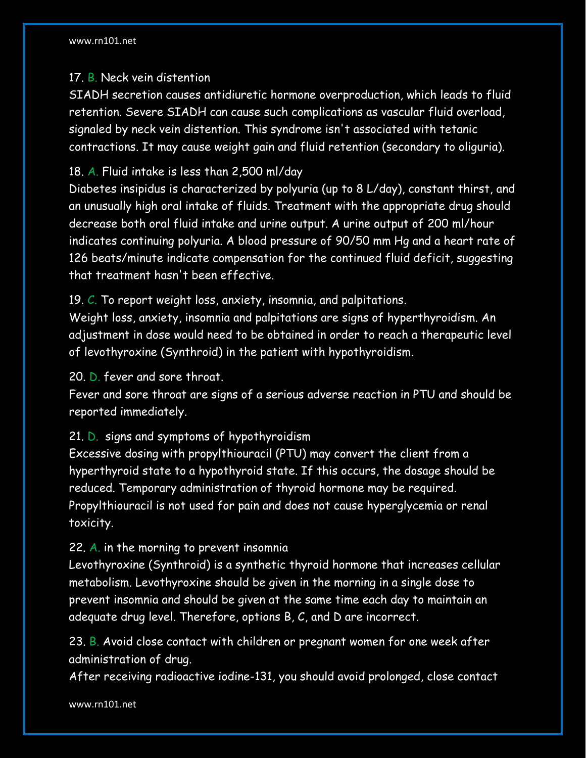# 17. B. Neck vein distention

SIADH secretion causes antidiuretic hormone overproduction, which leads to fluid retention. Severe SIADH can cause such complications as vascular fluid overload, signaled by neck vein distention. This syndrome isn't associated with tetanic contractions. It may cause weight gain and fluid retention (secondary to oliguria).

# 18. A. Fluid intake is less than 2,500 ml/day

Diabetes insipidus is characterized by polyuria (up to 8 L/day), constant thirst, and an unusually high oral intake of fluids. Treatment with the appropriate drug should decrease both oral fluid intake and urine output. A urine output of 200 ml/hour indicates continuing polyuria. A blood pressure of 90/50 mm Hg and a heart rate of 126 beats/minute indicate compensation for the continued fluid deficit, suggesting that treatment hasn't been effective.

19. C. To report weight loss, anxiety, insomnia, and palpitations.

Weight loss, anxiety, insomnia and palpitations are signs of hyperthyroidism. An adjustment in dose would need to be obtained in order to reach a therapeutic level of levothyroxine (Synthroid) in the patient with hypothyroidism.

# 20. D. fever and sore throat.

Fever and sore throat are signs of a serious adverse reaction in PTU and should be reported immediately.

# 21. D. signs and symptoms of hypothyroidism

Excessive dosing with propylthiouracil (PTU) may convert the client from a hyperthyroid state to a hypothyroid state. If this occurs, the dosage should be reduced. Temporary administration of thyroid hormone may be required. Propylthiouracil is not used for pain and does not cause hyperglycemia or renal toxicity.

# 22. A. in the morning to prevent insomnia

Levothyroxine (Synthroid) is a synthetic thyroid hormone that increases cellular metabolism. Levothyroxine should be given in the morning in a single dose to prevent insomnia and should be given at the same time each day to maintain an adequate drug level. Therefore, options B, C, and D are incorrect.

23. B. Avoid close contact with children or pregnant women for one week after administration of drug.

After receiving radioactive iodine-131, you should avoid prolonged, close contact

www.rn101.net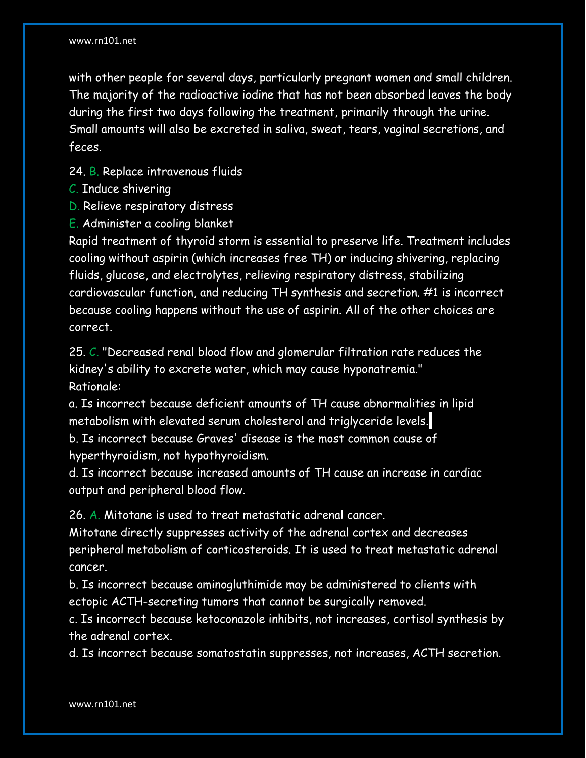with other people for several days, particularly pregnant women and small children. The majority of the radioactive iodine that has not been absorbed leaves the body during the first two days following the treatment, primarily through the urine. Small amounts will also be excreted in saliva, sweat, tears, vaginal secretions, and feces.

24. B. Replace intravenous fluids

- C. Induce shivering
- D. Relieve respiratory distress
- E. Administer a cooling blanket

Rapid treatment of thyroid storm is essential to preserve life. Treatment includes cooling without aspirin (which increases free TH) or inducing shivering, replacing fluids, glucose, and electrolytes, relieving respiratory distress, stabilizing cardiovascular function, and reducing TH synthesis and secretion. #1 is incorrect because cooling happens without the use of aspirin. All of the other choices are correct.

25. C. "Decreased renal blood flow and glomerular filtration rate reduces the kidney's ability to excrete water, which may cause hyponatremia." Rationale:

a. Is incorrect because deficient amounts of TH cause abnormalities in lipid metabolism with elevated serum cholesterol and triglyceride levels. b. Is incorrect because Graves' disease is the most common cause of hyperthyroidism, not hypothyroidism.

d. Is incorrect because increased amounts of TH cause an increase in cardiac output and peripheral blood flow.

26. A. Mitotane is used to treat metastatic adrenal cancer.

Mitotane directly suppresses activity of the adrenal cortex and decreases peripheral metabolism of corticosteroids. It is used to treat metastatic adrenal cancer.

b. Is incorrect because aminogluthimide may be administered to clients with ectopic ACTH-secreting tumors that cannot be surgically removed.

c. Is incorrect because ketoconazole inhibits, not increases, cortisol synthesis by the adrenal cortex.

d. Is incorrect because somatostatin suppresses, not increases, ACTH secretion.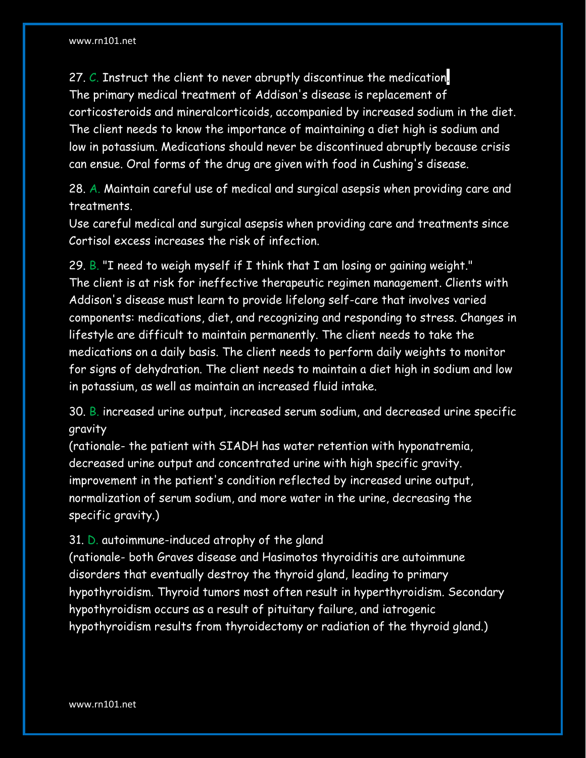27. C. Instruct the client to never abruptly discontinue the medication. The primary medical treatment of Addison's disease is replacement of corticosteroids and mineralcorticoids, accompanied by increased sodium in the diet. The client needs to know the importance of maintaining a diet high is sodium and low in potassium. Medications should never be discontinued abruptly because crisis can ensue. Oral forms of the drug are given with food in Cushing's disease.

28. A. Maintain careful use of medical and surgical asepsis when providing care and treatments.

Use careful medical and surgical asepsis when providing care and treatments since Cortisol excess increases the risk of infection.

29. B. "I need to weigh myself if I think that I am losing or gaining weight." The client is at risk for ineffective therapeutic regimen management. Clients with Addison's disease must learn to provide lifelong self-care that involves varied components: medications, diet, and recognizing and responding to stress. Changes in lifestyle are difficult to maintain permanently. The client needs to take the medications on a daily basis. The client needs to perform daily weights to monitor for signs of dehydration. The client needs to maintain a diet high in sodium and low in potassium, as well as maintain an increased fluid intake.

30. B. increased urine output, increased serum sodium, and decreased urine specific gravity

(rationale- the patient with SIADH has water retention with hyponatremia, decreased urine output and concentrated urine with high specific gravity. improvement in the patient's condition reflected by increased urine output, normalization of serum sodium, and more water in the urine, decreasing the specific gravity.)

#### 31. D. autoimmune-induced atrophy of the gland

(rationale- both Graves disease and Hasimotos thyroiditis are autoimmune disorders that eventually destroy the thyroid gland, leading to primary hypothyroidism. Thyroid tumors most often result in hyperthyroidism. Secondary hypothyroidism occurs as a result of pituitary failure, and iatrogenic hypothyroidism results from thyroidectomy or radiation of the thyroid gland.)